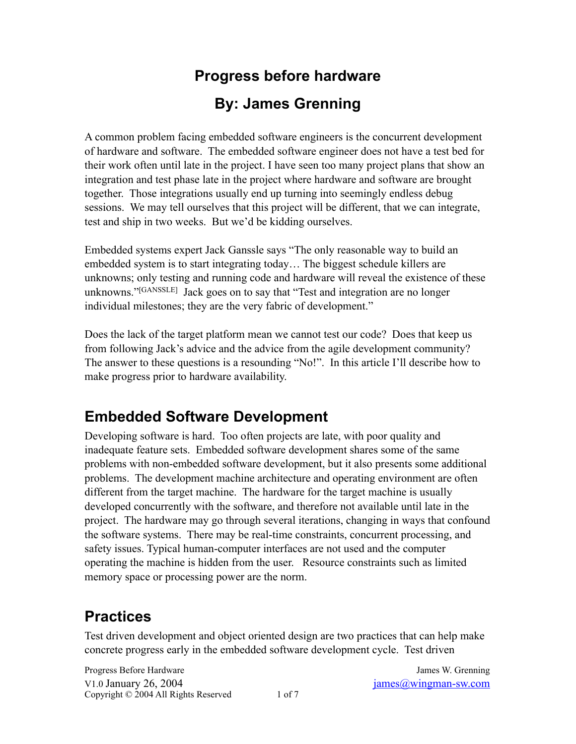# **Progress before hardware By: James Grenning**

A common problem facing embedded software engineers is the concurrent development of hardware and software. The embedded software engineer does not have a test bed for their work often until late in the project. I have seen too many project plans that show an integration and test phase late in the project where hardware and software are brought together. Those integrations usually end up turning into seemingly endless debug sessions. We may tell ourselves that this project will be different, that we can integrate, test and ship in two weeks. But we'd be kidding ourselves.

Embedded systems expert Jack Ganssle says "The only reasonable way to build an embedded system is to start integrating today… The biggest schedule killers are unknowns; only testing and running code and hardware will reveal the existence of these unknowns." [GANSSLE] Jack goes on to say that "Test and integration are no longer individual milestones; they are the very fabric of development."

Does the lack of the target platform mean we cannot test our code? Does that keep us from following Jack's advice and the advice from the agile development community? The answer to these questions is a resounding "No!". In this article I'll describe how to make progress prior to hardware availability.

## **Embedded Software Development**

Developing software is hard. Too often projects are late, with poor quality and inadequate feature sets. Embedded software development shares some of the same problems with non-embedded software development, but it also presents some additional problems. The development machine architecture and operating environment are often different from the target machine. The hardware for the target machine is usually developed concurrently with the software, and therefore not available until late in the project. The hardware may go through several iterations, changing in ways that confound the software systems. There may be real-time constraints, concurrent processing, and safety issues. Typical human-computer interfaces are not used and the computer operating the machine is hidden from the user. Resource constraints such as limited memory space or processing power are the norm.

## **Practices**

Test driven development and object oriented design are two practices that can help make concrete progress early in the embedded software development cycle. Test driven

Progress Before Hardware **Internal Community** Contract and *James W. Grenning James W. Grenning* V1.0 January 26, 2004 [james@wingman-sw.com](mailto:james@wingman-sw.com?subject=) Copyright  $\odot$  2004 All Rights Reserved 1 of 7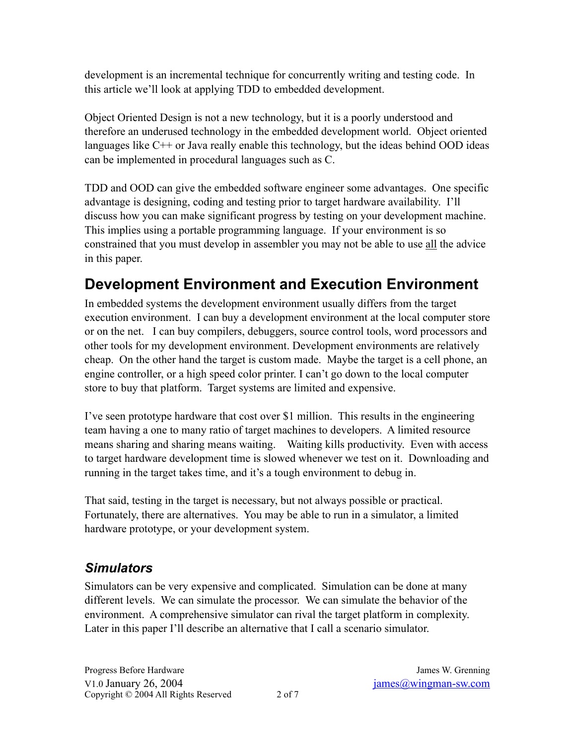development is an incremental technique for concurrently writing and testing code. In this article we'll look at applying TDD to embedded development.

Object Oriented Design is not a new technology, but it is a poorly understood and therefore an underused technology in the embedded development world. Object oriented languages like C++ or Java really enable this technology, but the ideas behind OOD ideas can be implemented in procedural languages such as C.

TDD and OOD can give the embedded software engineer some advantages. One specific advantage is designing, coding and testing prior to target hardware availability. I'll discuss how you can make significant progress by testing on your development machine. This implies using a portable programming language. If your environment is so constrained that you must develop in assembler you may not be able to use all the advice in this paper.

# **Development Environment and Execution Environment**

In embedded systems the development environment usually differs from the target execution environment. I can buy a development environment at the local computer store or on the net. I can buy compilers, debuggers, source control tools, word processors and other tools for my development environment. Development environments are relatively cheap. On the other hand the target is custom made. Maybe the target is a cell phone, an engine controller, or a high speed color printer. I can't go down to the local computer store to buy that platform. Target systems are limited and expensive.

I've seen prototype hardware that cost over \$1 million. This results in the engineering team having a one to many ratio of target machines to developers. A limited resource means sharing and sharing means waiting. Waiting kills productivity. Even with access to target hardware development time is slowed whenever we test on it. Downloading and running in the target takes time, and it's a tough environment to debug in.

That said, testing in the target is necessary, but not always possible or practical. Fortunately, there are alternatives. You may be able to run in a simulator, a limited hardware prototype, or your development system.

#### *Simulators*

Simulators can be very expensive and complicated. Simulation can be done at many different levels. We can simulate the processor. We can simulate the behavior of the environment. A comprehensive simulator can rival the target platform in complexity. Later in this paper I'll describe an alternative that I call a scenario simulator.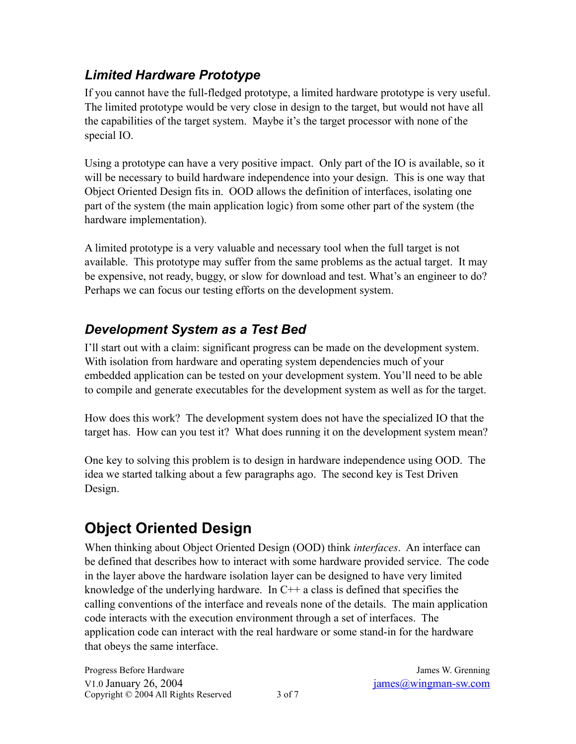#### *Limited Hardware Prototype*

If you cannot have the full-fledged prototype, a limited hardware prototype is very useful. The limited prototype would be very close in design to the target, but would not have all the capabilities of the target system. Maybe it's the target processor with none of the special IO.

Using a prototype can have a very positive impact. Only part of the IO is available, so it will be necessary to build hardware independence into your design. This is one way that Object Oriented Design fits in. OOD allows the definition of interfaces, isolating one part of the system (the main application logic) from some other part of the system (the hardware implementation).

A limited prototype is a very valuable and necessary tool when the full target is not available. This prototype may suffer from the same problems as the actual target. It may be expensive, not ready, buggy, or slow for download and test. What's an engineer to do? Perhaps we can focus our testing efforts on the development system.

#### *Development System as a Test Bed*

I'll start out with a claim: significant progress can be made on the development system. With isolation from hardware and operating system dependencies much of your embedded application can be tested on your development system. You'll need to be able to compile and generate executables for the development system as well as for the target.

How does this work? The development system does not have the specialized IO that the target has. How can you test it? What does running it on the development system mean?

One key to solving this problem is to design in hardware independence using OOD. The idea we started talking about a few paragraphs ago. The second key is Test Driven Design.

# **Object Oriented Design**

When thinking about Object Oriented Design (OOD) think *interfaces*. An interface can be defined that describes how to interact with some hardware provided service. The code in the layer above the hardware isolation layer can be designed to have very limited knowledge of the underlying hardware. In  $C++$  a class is defined that specifies the calling conventions of the interface and reveals none of the details. The main application code interacts with the execution environment through a set of interfaces. The application code can interact with the real hardware or some stand-in for the hardware that obeys the same interface.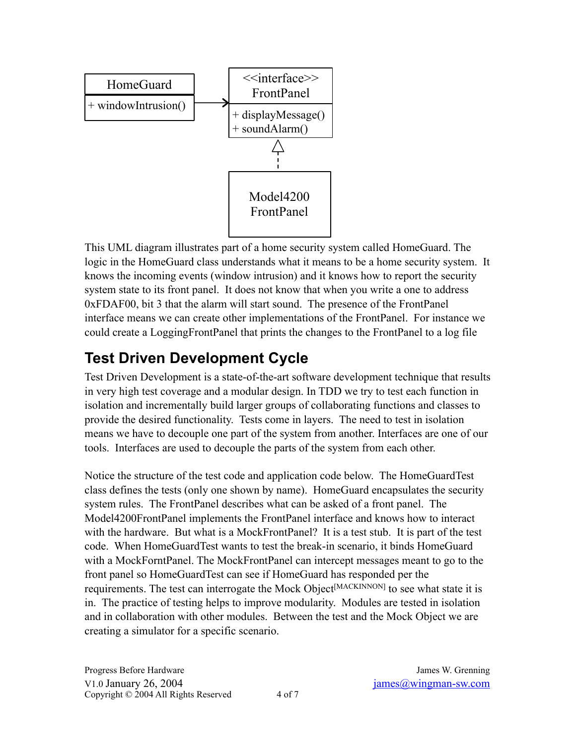

This UML diagram illustrates part of a home security system called HomeGuard. The logic in the HomeGuard class understands what it means to be a home security system. It knows the incoming events (window intrusion) and it knows how to report the security system state to its front panel. It does not know that when you write a one to address 0xFDAF00, bit 3 that the alarm will start sound. The presence of the FrontPanel interface means we can create other implementations of the FrontPanel. For instance we could create a LoggingFrontPanel that prints the changes to the FrontPanel to a log file

## **Test Driven Development Cycle**

Test Driven Development is a state-of-the-art software development technique that results in very high test coverage and a modular design. In TDD we try to test each function in isolation and incrementally build larger groups of collaborating functions and classes to provide the desired functionality. Tests come in layers. The need to test in isolation means we have to decouple one part of the system from another. Interfaces are one of our tools. Interfaces are used to decouple the parts of the system from each other.

Notice the structure of the test code and application code below. The HomeGuardTest class defines the tests (only one shown by name). HomeGuard encapsulates the security system rules. The FrontPanel describes what can be asked of a front panel. The Model4200FrontPanel implements the FrontPanel interface and knows how to interact with the hardware. But what is a MockFrontPanel? It is a test stub. It is part of the test code. When HomeGuardTest wants to test the break-in scenario, it binds HomeGuard with a MockForntPanel. The MockFrontPanel can intercept messages meant to go to the front panel so HomeGuardTest can see if HomeGuard has responded per the requirements. The test can interrogate the Mock Object<sup>[MACKINNON]</sup> to see what state it is in. The practice of testing helps to improve modularity. Modules are tested in isolation and in collaboration with other modules. Between the test and the Mock Object we are creating a simulator for a specific scenario.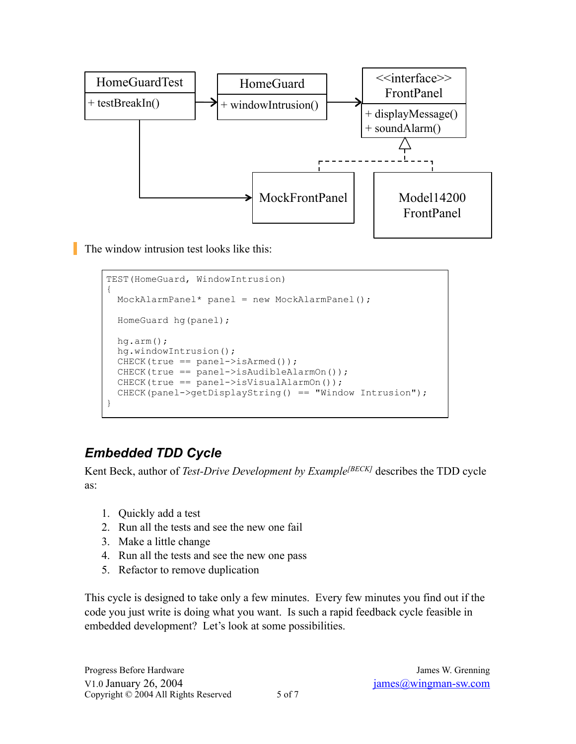

The window intrusion test looks like this:

```
TEST(HomeGuard, WindowIntrusion)
{
 MockAlarmPanel* panel = new MockAlarmPanel();
  HomeGuard hg(panel);
  hg.arm();
  hg.windowIntrusion();
 CHECK(true == panel->isArmed());
  CHECK(true == panel->isAudibleAlarmOn());
  CHECK(true == panel->isVisualAlarmOn());
  CHECK(panel->getDisplayString() == "Window Intrusion");
}
```
#### *Embedded TDD Cycle*

Kent Beck, author of *Test-Drive Development by Example*<sup>[BECK]</sup> describes the TDD cycle as:

- 1. Quickly add a test
- 2. Run all the tests and see the new one fail
- 3. Make a little change
- 4. Run all the tests and see the new one pass
- 5. Refactor to remove duplication

This cycle is designed to take only a few minutes. Every few minutes you find out if the code you just write is doing what you want. Is such a rapid feedback cycle feasible in embedded development? Let's look at some possibilities.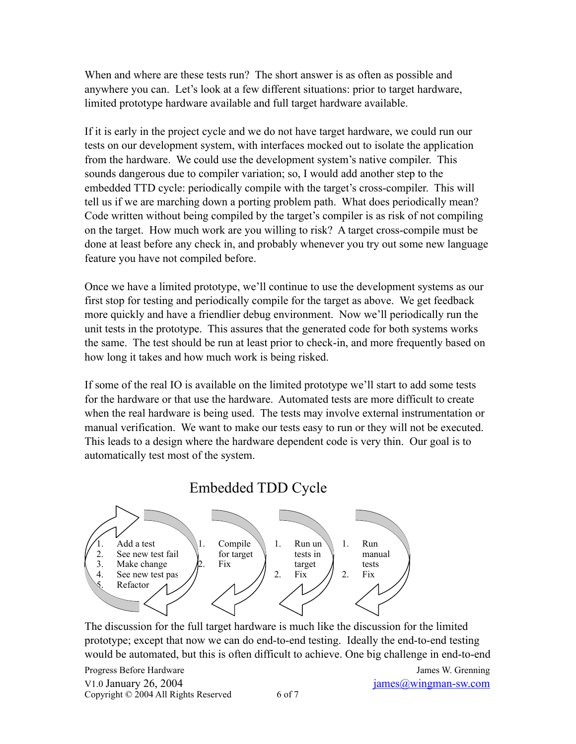When and where are these tests run? The short answer is as often as possible and anywhere you can. Let's look at a few different situations: prior to target hardware, limited prototype hardware available and full target hardware available.

If it is early in the project cycle and we do not have target hardware, we could run our tests on our development system, with interfaces mocked out to isolate the application from the hardware. We could use the development system's native compiler. This sounds dangerous due to compiler variation; so, I would add another step to the embedded TTD cycle: periodically compile with the target's cross-compiler. This will tell us if we are marching down a porting problem path. What does periodically mean? Code written without being compiled by the target's compiler is as risk of not compiling on the target. How much work are you willing to risk? A target cross-compile must be done at least before any check in, and probably whenever you try out some new language feature you have not compiled before.

Once we have a limited prototype, we'll continue to use the development systems as our first stop for testing and periodically compile for the target as above. We get feedback more quickly and have a friendlier debug environment. Now we'll periodically run the unit tests in the prototype. This assures that the generated code for both systems works the same. The test should be run at least prior to check-in, and more frequently based on how long it takes and how much work is being risked.

If some of the real IO is available on the limited prototype we'll start to add some tests for the hardware or that use the hardware. Automated tests are more difficult to create when the real hardware is being used. The tests may involve external instrumentation or manual verification. We want to make our tests easy to run or they will not be executed. This leads to a design where the hardware dependent code is very thin. Our goal is to automatically test most of the system.

#### Embedded TDD Cycle



The discussion for the full target hardware is much like the discussion for the limited prototype; except that now we can do end-to-end testing. Ideally the end-to-end testing would be automated, but this is often difficult to achieve. One big challenge in end-to-end

Progress Before Hardware **Internal Community** Contract and Tames W. Grenning V1.0 January 26, 2004 [james@wingman-sw.com](mailto:james@wingman-sw.com?subject=) Copyright  $\odot$  2004 All Rights Reserved 6 of 7